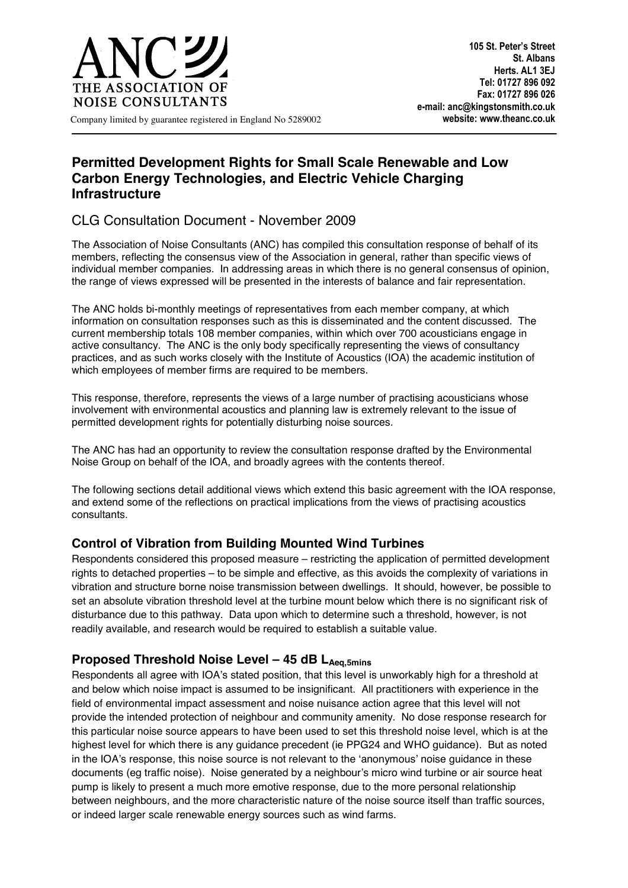

## **Permitted Development Rights for Small Scale Renewable and Low Carbon Energy Technologies, and Electric Vehicle Charging Infrastructure**

# CLG Consultation Document - November 2009

The Association of Noise Consultants (ANC) has compiled this consultation response of behalf of its members, reflecting the consensus view of the Association in general, rather than specific views of individual member companies. In addressing areas in which there is no general consensus of opinion, the range of views expressed will be presented in the interests of balance and fair representation.

The ANC holds bi-monthly meetings of representatives from each member company, at which information on consultation responses such as this is disseminated and the content discussed. The current membership totals 108 member companies, within which over 700 acousticians engage in active consultancy. The ANC is the only body specifically representing the views of consultancy practices, and as such works closely with the Institute of Acoustics (IOA) the academic institution of which employees of member firms are required to be members.

This response, therefore, represents the views of a large number of practising acousticians whose involvement with environmental acoustics and planning law is extremely relevant to the issue of permitted development rights for potentially disturbing noise sources.

The ANC has had an opportunity to review the consultation response drafted by the Environmental Noise Group on behalf of the IOA, and broadly agrees with the contents thereof.

The following sections detail additional views which extend this basic agreement with the IOA response, and extend some of the reflections on practical implications from the views of practising acoustics consultants.

### **Control of Vibration from Building Mounted Wind Turbines**

Respondents considered this proposed measure – restricting the application of permitted development rights to detached properties – to be simple and effective, as this avoids the complexity of variations in vibration and structure borne noise transmission between dwellings. It should, however, be possible to set an absolute vibration threshold level at the turbine mount below which there is no significant risk of disturbance due to this pathway. Data upon which to determine such a threshold, however, is not readily available, and research would be required to establish a suitable value.

## Proposed Threshold Noise Level - 45 dB L<sub>Aeq,5mins</sub>

Respondents all agree with IOA's stated position, that this level is unworkably high for a threshold at and below which noise impact is assumed to be insignificant. All practitioners with experience in the field of environmental impact assessment and noise nuisance action agree that this level will not provide the intended protection of neighbour and community amenity. No dose response research for this particular noise source appears to have been used to set this threshold noise level, which is at the highest level for which there is any guidance precedent (ie PPG24 and WHO guidance). But as noted in the IOA's response, this noise source is not relevant to the 'anonymous' noise guidance in these documents (eg traffic noise). Noise generated by a neighbour's micro wind turbine or air source heat pump is likely to present a much more emotive response, due to the more personal relationship between neighbours, and the more characteristic nature of the noise source itself than traffic sources, or indeed larger scale renewable energy sources such as wind farms.